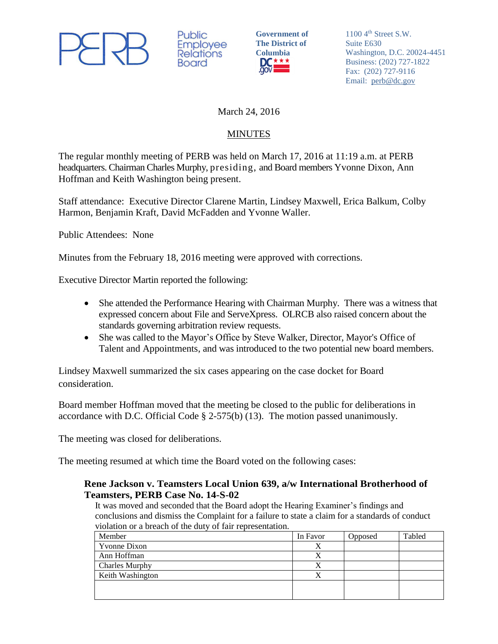

Public **Employee Relations Board** 

**Government of The District of**  Columbia<br>DC \* \* \*

1100 4<sup>th</sup> Street S.W. Suite E630 Washington, D.C. 20024-4451 Business: (202) 727-1822 Fax: (202) 727-9116 Email: [perb@dc.gov](mailto:perb@dc.gov)

## March 24, 2016

# **MINUTES**

The regular monthly meeting of PERB was held on March 17, 2016 at 11:19 a.m. at PERB headquarters. Chairman Charles Murphy, presiding, and Board members Yvonne Dixon, Ann Hoffman and Keith Washington being present.

Staff attendance: Executive Director Clarene Martin, Lindsey Maxwell, Erica Balkum, Colby Harmon, Benjamin Kraft, David McFadden and Yvonne Waller.

Public Attendees: None

Minutes from the February 18, 2016 meeting were approved with corrections.

Executive Director Martin reported the following:

- She attended the Performance Hearing with Chairman Murphy. There was a witness that expressed concern about File and ServeXpress. OLRCB also raised concern about the standards governing arbitration review requests.
- She was called to the Mayor's Office by Steve Walker, Director, Mayor's Office of Talent and Appointments, and was introduced to the two potential new board members.

Lindsey Maxwell summarized the six cases appearing on the case docket for Board consideration.

Board member Hoffman moved that the meeting be closed to the public for deliberations in accordance with D.C. Official Code § 2-575(b) (13). The motion passed unanimously.

The meeting was closed for deliberations.

The meeting resumed at which time the Board voted on the following cases:

## **Rene Jackson v. Teamsters Local Union 639, a/w International Brotherhood of Teamsters, PERB Case No. 14-S-02**

It was moved and seconded that the Board adopt the Hearing Examiner's findings and conclusions and dismiss the Complaint for a failure to state a claim for a standards of conduct violation or a breach of the duty of fair representation.

| Member                | In Favor | Opposed | Tabled |
|-----------------------|----------|---------|--------|
| Yvonne Dixon          | Х        |         |        |
| Ann Hoffman           |          |         |        |
| <b>Charles Murphy</b> | Х        |         |        |
| Keith Washington      |          |         |        |
|                       |          |         |        |
|                       |          |         |        |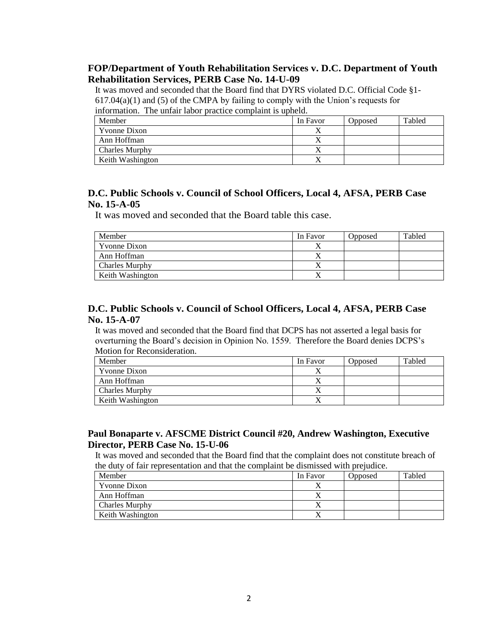#### **FOP/Department of Youth Rehabilitation Services v. D.C. Department of Youth Rehabilitation Services, PERB Case No. 14-U-09**

It was moved and seconded that the Board find that DYRS violated D.C. Official Code §1-  $617.04(a)(1)$  and  $(5)$  of the CMPA by failing to comply with the Union's requests for information. The unfair labor practice complaint is upheld.

| Member                |  | In Favor  | Opposed | Tabled |
|-----------------------|--|-----------|---------|--------|
| <b>Yvonne Dixon</b>   |  |           |         |        |
| Ann Hoffman           |  | $\lambda$ |         |        |
| <b>Charles Murphy</b> |  |           |         |        |
| Keith Washington      |  |           |         |        |

#### **D.C. Public Schools v. Council of School Officers, Local 4, AFSA, PERB Case No. 15-A-05**

It was moved and seconded that the Board table this case.

| Member               | In Favor | <b>Opposed</b> | Tabled |
|----------------------|----------|----------------|--------|
| <b>Y</b> vonne Dixon |          |                |        |
| Ann Hoffman          |          |                |        |
| Charles Murphy       |          |                |        |
| Keith Washington     |          |                |        |

### **D.C. Public Schools v. Council of School Officers, Local 4, AFSA, PERB Case No. 15-A-07**

It was moved and seconded that the Board find that DCPS has not asserted a legal basis for overturning the Board's decision in Opinion No. 1559. Therefore the Board denies DCPS's Motion for Reconsideration.

| Member                | In Favor | Opposed | Tabled |
|-----------------------|----------|---------|--------|
| Yvonne Dixon          |          |         |        |
| Ann Hoffman           |          |         |        |
| <b>Charles Murphy</b> |          |         |        |
| Keith Washington      | ∡        |         |        |

### **Paul Bonaparte v. AFSCME District Council #20, Andrew Washington, Executive Director, PERB Case No. 15-U-06**

It was moved and seconded that the Board find that the complaint does not constitute breach of the duty of fair representation and that the complaint be dismissed with prejudice.

| Member                | In Favor | Opposed | Tabled |
|-----------------------|----------|---------|--------|
| Yvonne Dixon          | ∡        |         |        |
| Ann Hoffman           |          |         |        |
| <b>Charles Murphy</b> |          |         |        |
| Keith Washington      | ∡        |         |        |